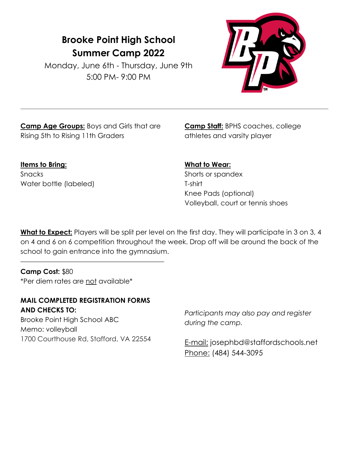## **Brooke Point High School Summer Camp 2022**

Monday, June 6th - Thursday, June 9th 5:00 PM- 9:00 PM



**Camp Age Groups:** Boys and Girls that are Rising 5th to Rising 11th Graders

**Camp Staff:** BPHS coaches, college athletes and varsity player

**Items to Bring: Snacks** Water bottle (labeled) **What to Wear:** 

Shorts or spandex T-shirt Knee Pads (optional) Volleyball, court or tennis shoes

**What to Expect:** Players will be split per level on the first day. They will participate in 3 on 3, 4 on 4 and 6 on 6 competition throughout the week. Drop off will be around the back of the school to gain entrance into the gymnasium.

**Camp Cost:** \$80 \*Per diem rates are not available\*

**MAIL COMPLETED REGISTRATION FORMS AND CHECKS TO:**  Brooke Point High School ABC Memo: volleyball 1700 Courthouse Rd, Stafford, VA 22554

*Participants may also pay and register during the camp.* 

E-mail: josephbd@staffordschools.net Phone: (484) 544-3095